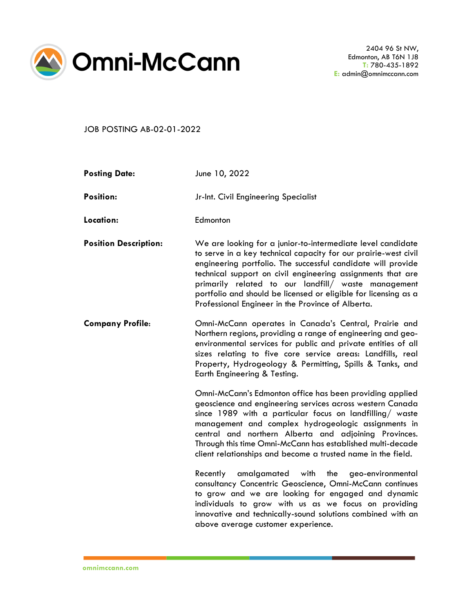

JOB POSTING AB-02-01-2022

| <b>Posting Date:</b>         | June 10, 2022                                                                                                                                                                                                                                                                                                                                                                                                                                |
|------------------------------|----------------------------------------------------------------------------------------------------------------------------------------------------------------------------------------------------------------------------------------------------------------------------------------------------------------------------------------------------------------------------------------------------------------------------------------------|
| <b>Position:</b>             | Jr-Int. Civil Engineering Specialist                                                                                                                                                                                                                                                                                                                                                                                                         |
| Location:                    | Edmonton                                                                                                                                                                                                                                                                                                                                                                                                                                     |
| <b>Position Description:</b> | We are looking for a junior-to-intermediate level candidate<br>to serve in a key technical capacity for our prairie-west civil<br>engineering portfolio. The successful candidate will provide<br>technical support on civil engineering assignments that are<br>primarily related to our landfill/ waste management<br>portfolio and should be licensed or eligible for licensing as a<br>Professional Engineer in the Province of Alberta. |
| <b>Company Profile:</b>      | Omni-McCann operates in Canada's Central, Prairie and<br>Northern regions, providing a range of engineering and geo-<br>environmental services for public and private entities of all<br>sizes relating to five core service areas: Landfills, real<br>Property, Hydrogeology & Permitting, Spills & Tanks, and<br>Earth Engineering & Testing.                                                                                              |
|                              | Omni-McCann's Edmonton office has been providing applied<br>geoscience and engineering services across western Canada<br>since 1989 with a particular focus on landfilling/ waste<br>management and complex hydrogeologic assignments in<br>central and northern Alberta and adjoining Provinces.<br>Through this time Omni-McCann has established multi-decade<br>client relationships and become a trusted name in the field.              |
|                              | Recently<br>amalgamated with the<br>geo-environmental<br>consultancy Concentric Geoscience, Omni-McCann continues<br>to grow and we are looking for engaged and dynamic<br>individuals to grow with us as we focus on providing<br>innovative and technically-sound solutions combined with an<br>above average customer experience.                                                                                                         |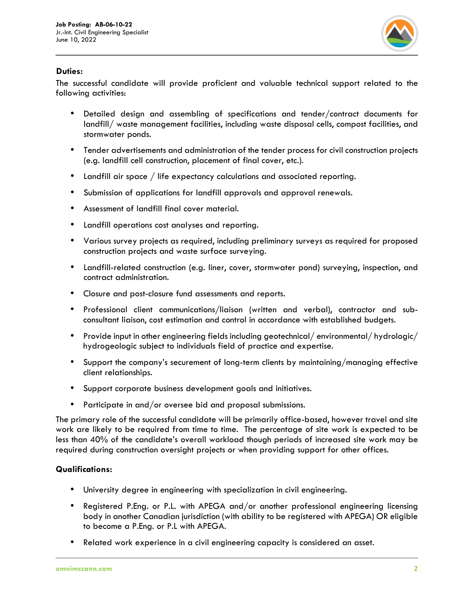

## **Duties:**

The successful candidate will provide proficient and valuable technical support related to the following activities:

- Detailed design and assembling of specifications and tender/contract documents for landfill/ waste management facilities, including waste disposal cells, compost facilities, and stormwater ponds.
- Tender advertisements and administration of the tender process for civil construction projects (e.g. landfill cell construction, placement of final cover, etc.).
- Landfill air space / life expectancy calculations and associated reporting.
- Submission of applications for landfill approvals and approval renewals.
- Assessment of landfill final cover material.
- Landfill operations cost analyses and reporting.
- Various survey projects as required, including preliminary surveys as required for proposed construction projects and waste surface surveying.
- Landfill-related construction (e.g. liner, cover, stormwater pond) surveying, inspection, and contract administration.
- Closure and post-closure fund assessments and reports.
- Professional client communications/liaison (written and verbal), contractor and subconsultant liaison, cost estimation and control in accordance with established budgets.
- Provide input in other engineering fields including geotechnical/ environmental/ hydrologic/ hydrogeologic subject to individuals field of practice and expertise.
- Support the company's securement of long-term clients by maintaining/managing effective client relationships.
- Support corporate business development goals and initiatives.
- Participate in and/or oversee bid and proposal submissions.

The primary role of the successful candidate will be primarily office-based, however travel and site work are likely to be required from time to time. The percentage of site work is expected to be less than 40% of the candidate's overall workload though periods of increased site work may be required during construction oversight projects or when providing support for other offices.

## **Qualifications:**

- University degree in engineering with specialization in civil engineering.
- Registered P.Eng. or P.L. with APEGA and/or another professional engineering licensing body in another Canadian jurisdiction (with ability to be registered with APEGA) OR eligible to become a P.Eng. or P.L with APEGA.
- Related work experience in a civil engineering capacity is considered an asset.